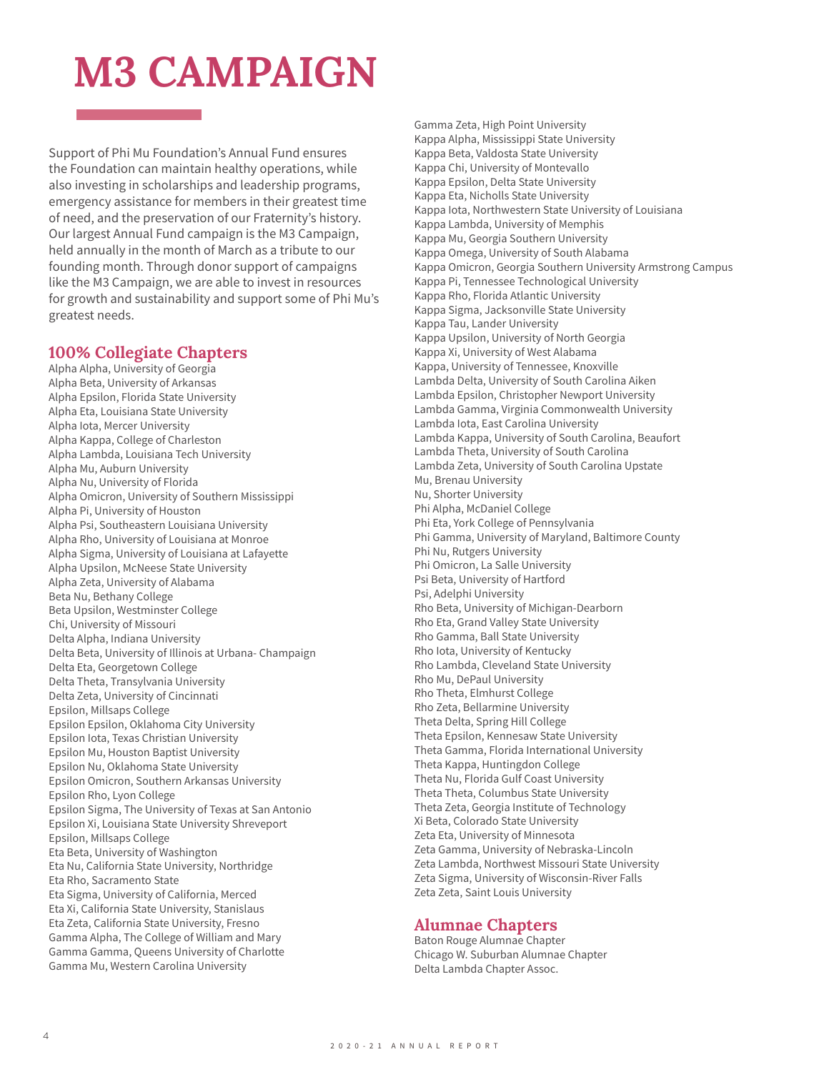## **M3 CAMPAIGN**

Support of Phi Mu Foundation's Annual Fund ensures the Foundation can maintain healthy operations, while also investing in scholarships and leadership programs, emergency assistance for members in their greatest time of need, and the preservation of our Fraternity's history. Our largest Annual Fund campaign is the M3 Campaign, held annually in the month of March as a tribute to our founding month. Through donor support of campaigns like the M3 Campaign, we are able to invest in resources for growth and sustainability and support some of Phi Mu's greatest needs.

## **100% Collegiate Chapters**

Alpha Alpha, University of Georgia Alpha Beta, University of Arkansas Alpha Epsilon, Florida State University Alpha Eta, Louisiana State University Alpha Iota, Mercer University Alpha Kappa, College of Charleston Alpha Lambda, Louisiana Tech University Alpha Mu, Auburn University Alpha Nu, University of Florida Alpha Omicron, University of Southern Mississippi Alpha Pi, University of Houston Alpha Psi, Southeastern Louisiana University Alpha Rho, University of Louisiana at Monroe Alpha Sigma, University of Louisiana at Lafayette Alpha Upsilon, McNeese State University Alpha Zeta, University of Alabama Beta Nu, Bethany College Beta Upsilon, Westminster College Chi, University of Missouri Delta Alpha, Indiana University Delta Beta, University of Illinois at Urbana- Champaign Delta Eta, Georgetown College Delta Theta, Transylvania University Delta Zeta, University of Cincinnati Epsilon, Millsaps College Epsilon Epsilon, Oklahoma City University Epsilon Iota, Texas Christian University Epsilon Mu, Houston Baptist University Epsilon Nu, Oklahoma State University Epsilon Omicron, Southern Arkansas University Epsilon Rho, Lyon College Epsilon Sigma, The University of Texas at San Antonio Epsilon Xi, Louisiana State University Shreveport Epsilon, Millsaps College Eta Beta, University of Washington Eta Nu, California State University, Northridge Eta Rho, Sacramento State Eta Sigma, University of California, Merced Eta Xi, California State University, Stanislaus Eta Zeta, California State University, Fresno Gamma Alpha, The College of William and Mary Gamma Gamma, Queens University of Charlotte Gamma Mu, Western Carolina University

Gamma Zeta, High Point University Kappa Alpha, Mississippi State University Kappa Beta, Valdosta State University Kappa Chi, University of Montevallo Kappa Epsilon, Delta State University Kappa Eta, Nicholls State University Kappa Iota, Northwestern State University of Louisiana Kappa Lambda, University of Memphis Kappa Mu, Georgia Southern University Kappa Omega, University of South Alabama Kappa Omicron, Georgia Southern University Armstrong Campus Kappa Pi, Tennessee Technological University Kappa Rho, Florida Atlantic University Kappa Sigma, Jacksonville State University Kappa Tau, Lander University Kappa Upsilon, University of North Georgia Kappa Xi, University of West Alabama Kappa, University of Tennessee, Knoxville Lambda Delta, University of South Carolina Aiken Lambda Epsilon, Christopher Newport University Lambda Gamma, Virginia Commonwealth University Lambda Iota, East Carolina University Lambda Kappa, University of South Carolina, Beaufort Lambda Theta, University of South Carolina Lambda Zeta, University of South Carolina Upstate Mu, Brenau University Nu, Shorter University Phi Alpha, McDaniel College Phi Eta, York College of Pennsylvania Phi Gamma, University of Maryland, Baltimore County Phi Nu, Rutgers University Phi Omicron, La Salle University Psi Beta, University of Hartford Psi, Adelphi University Rho Beta, University of Michigan-Dearborn Rho Eta, Grand Valley State University Rho Gamma, Ball State University Rho Iota, University of Kentucky Rho Lambda, Cleveland State University Rho Mu, DePaul University Rho Theta, Elmhurst College Rho Zeta, Bellarmine University Theta Delta, Spring Hill College Theta Epsilon, Kennesaw State University Theta Gamma, Florida International University Theta Kappa, Huntingdon College Theta Nu, Florida Gulf Coast University Theta Theta, Columbus State University Theta Zeta, Georgia Institute of Technology Xi Beta, Colorado State University Zeta Eta, University of Minnesota Zeta Gamma, University of Nebraska-Lincoln Zeta Lambda, Northwest Missouri State University Zeta Sigma, University of Wisconsin-River Falls Zeta Zeta, Saint Louis University

## **Alumnae Chapters**

Baton Rouge Alumnae Chapter Chicago W. Suburban Alumnae Chapter Delta Lambda Chapter Assoc.